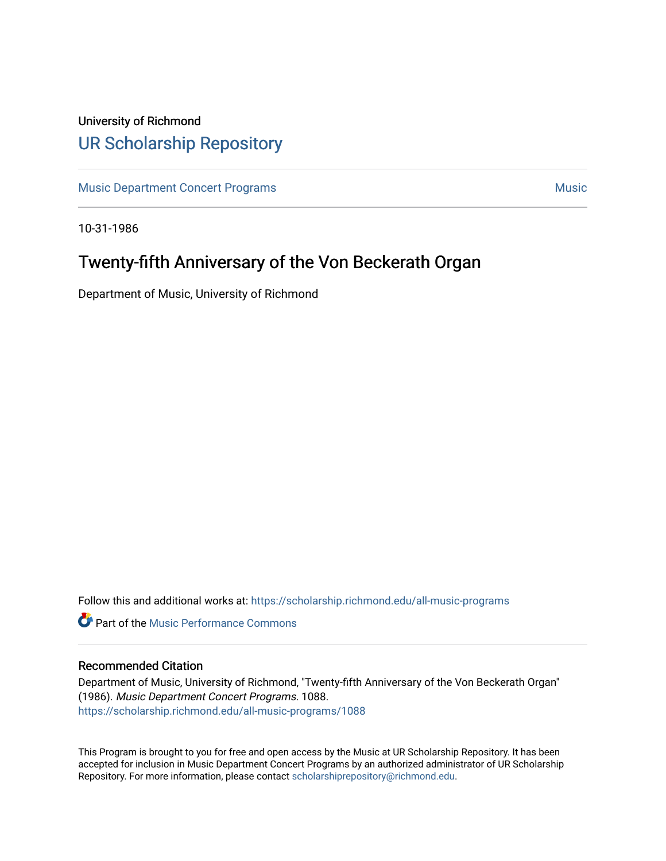## University of Richmond [UR Scholarship Repository](https://scholarship.richmond.edu/)

[Music Department Concert Programs](https://scholarship.richmond.edu/all-music-programs) [Music](https://scholarship.richmond.edu/music) 30 and 200 million and 200 million and 200 million and 200 million and 200 million and 200 million and 200 million and 200 million and 200 million and 200 million and 200 million and

10-31-1986

# Twenty-fifth Anniversary of the Von Beckerath Organ

Department of Music, University of Richmond

Follow this and additional works at: [https://scholarship.richmond.edu/all-music-programs](https://scholarship.richmond.edu/all-music-programs?utm_source=scholarship.richmond.edu%2Fall-music-programs%2F1088&utm_medium=PDF&utm_campaign=PDFCoverPages)

**C** Part of the [Music Performance Commons](http://network.bepress.com/hgg/discipline/1128?utm_source=scholarship.richmond.edu%2Fall-music-programs%2F1088&utm_medium=PDF&utm_campaign=PDFCoverPages)

## Recommended Citation

Department of Music, University of Richmond, "Twenty-fifth Anniversary of the Von Beckerath Organ" (1986). Music Department Concert Programs. 1088. [https://scholarship.richmond.edu/all-music-programs/1088](https://scholarship.richmond.edu/all-music-programs/1088?utm_source=scholarship.richmond.edu%2Fall-music-programs%2F1088&utm_medium=PDF&utm_campaign=PDFCoverPages)

This Program is brought to you for free and open access by the Music at UR Scholarship Repository. It has been accepted for inclusion in Music Department Concert Programs by an authorized administrator of UR Scholarship Repository. For more information, please contact [scholarshiprepository@richmond.edu](mailto:scholarshiprepository@richmond.edu).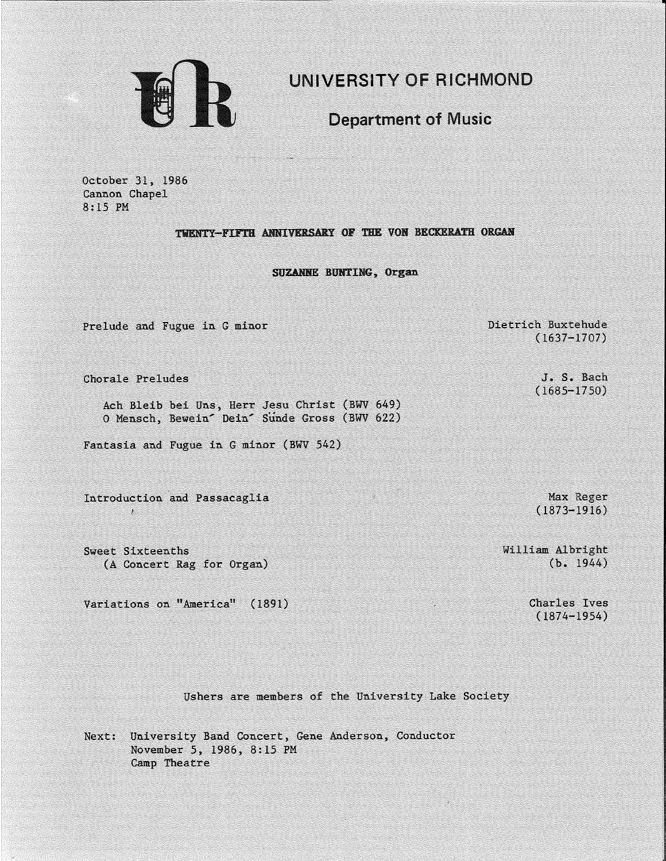

**UNIVERSITY** OF RICHMOND

## Department of Music

October 31, 1986 Cannon Chapel 8:15 PM

## TWENTY-FIFTH ANNIVERSARY OF THE VON BECKERATH ORGAN

SUZANNE BUNTING, Organ

Prelude and Fugue in G minor

Chorale Preludes

*t,* 

Ach Bleib bei Uns, Herr Jesu Christ (BWV 649) 0 Mensch, Bewein' Dein' Sunde Gross (BWV 622)

Fantasia and Fugue in G minor (BWV 542)

Introduction and Passacaglia

Sweet Sixteenths (A Concert Rag for Organ)

Variations on "America" (1891)

Dietrich Buxtehude (1637-1707)

> *J.* S. Bach (1685-1750)

Max Reger (1873-1916)

William Albright (b. 1944)

> Charles Ives (1874-1954)

Ushers are members of the University Lake Society

Next: University Band Concert, Gene Anderson, Conductor November 5., 1986, 8: 15 PM Camp Theatre